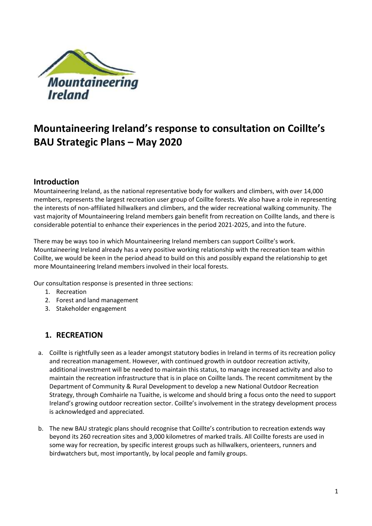

# **Mountaineering Ireland's response to consultation on Coillte's BAU Strategic Plans – May 2020**

### **Introduction**

Mountaineering Ireland, as the national representative body for walkers and climbers, with over 14,000 members, represents the largest recreation user group of Coillte forests. We also have a role in representing the interests of non-affiliated hillwalkers and climbers, and the wider recreational walking community. The vast majority of Mountaineering Ireland members gain benefit from recreation on Coillte lands, and there is considerable potential to enhance their experiences in the period 2021-2025, and into the future.

There may be ways too in which Mountaineering Ireland members can support Coillte's work. Mountaineering Ireland already has a very positive working relationship with the recreation team within Coillte, we would be keen in the period ahead to build on this and possibly expand the relationship to get more Mountaineering Ireland members involved in their local forests.

Our consultation response is presented in three sections:

- 1. Recreation
- 2. Forest and land management
- 3. Stakeholder engagement

# **1. RECREATION**

- a. Coillte is rightfully seen as a leader amongst statutory bodies in Ireland in terms of its recreation policy and recreation management. However, with continued growth in outdoor recreation activity, additional investment will be needed to maintain this status, to manage increased activity and also to maintain the recreation infrastructure that is in place on Coillte lands. The recent commitment by the Department of Community & Rural Development to develop a new National Outdoor Recreation Strategy, through Comhairle na Tuaithe, is welcome and should bring a focus onto the need to support Ireland's growing outdoor recreation sector. Coillte's involvement in the strategy development process is acknowledged and appreciated.
- b. The new BAU strategic plans should recognise that Coillte's contribution to recreation extends way beyond its 260 recreation sites and 3,000 kilometres of marked trails. All Coillte forests are used in some way for recreation, by specific interest groups such as hillwalkers, orienteers, runners and birdwatchers but, most importantly, by local people and family groups.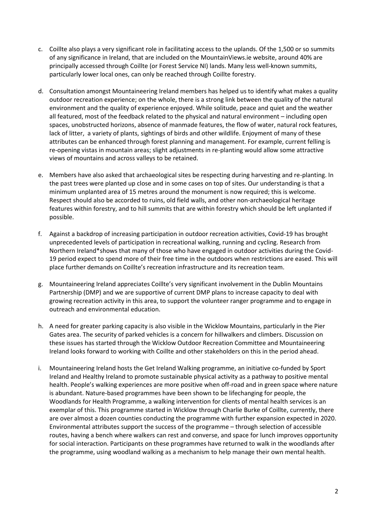- c. Coillte also plays a very significant role in facilitating access to the uplands. Of the 1,500 or so summits of any significance in Ireland, that are included on the MountainViews.ie website, around 40% are principally accessed through Coillte (or Forest Service NI) lands. Many less well-known summits, particularly lower local ones, can only be reached through Coillte forestry.
- d. Consultation amongst Mountaineering Ireland members has helped us to identify what makes a quality outdoor recreation experience; on the whole, there is a strong link between the quality of the natural environment and the quality of experience enjoyed. While solitude, peace and quiet and the weather all featured, most of the feedback related to the physical and natural environment – including open spaces, unobstructed horizons, absence of manmade features, the flow of water, natural rock features, lack of litter, a variety of plants, sightings of birds and other wildlife. Enjoyment of many of these attributes can be enhanced through forest planning and management. For example, current felling is re-opening vistas in mountain areas; slight adjustments in re-planting would allow some attractive views of mountains and across valleys to be retained.
- e. Members have also asked that archaeological sites be respecting during harvesting and re-planting. In the past trees were planted up close and in some cases on top of sites. Our understanding is that a minimum unplanted area of 15 metres around the monument is now required; this is welcome. Respect should also be accorded to ruins, old field walls, and other non-archaeological heritage features within forestry, and to hill summits that are within forestry which should be left unplanted if possible.
- f. Against a backdrop of increasing participation in outdoor recreation activities, Covid-19 has brought unprecedented levels of participation in recreational walking, running and cycling. Research from Northern Ireland\*shows that many of those who have engaged in outdoor activities during the Covid-19 period expect to spend more of their free time in the outdoors when restrictions are eased. This will place further demands on Coillte's recreation infrastructure and its recreation team.
- g. Mountaineering Ireland appreciates Coillte's very significant involvement in the Dublin Mountains Partnership (DMP) and we are supportive of current DMP plans to increase capacity to deal with growing recreation activity in this area, to support the volunteer ranger programme and to engage in outreach and environmental education.
- h. A need for greater parking capacity is also visible in the Wicklow Mountains, particularly in the Pier Gates area. The security of parked vehicles is a concern for hillwalkers and climbers. Discussion on these issues has started through the Wicklow Outdoor Recreation Committee and Mountaineering Ireland looks forward to working with Coillte and other stakeholders on this in the period ahead.
- i. Mountaineering Ireland hosts the Get Ireland Walking programme, an initiative co-funded by Sport Ireland and Healthy Ireland to promote sustainable physical activity as a pathway to positive mental health. People's walking experiences are more positive when off-road and in green space where nature is abundant. Nature-based programmes have been shown to be lifechanging for people, the Woodlands for Health Programme, a walking intervention for clients of mental health services is an exemplar of this. This programme started in Wicklow through Charlie Burke of Coillte, currently, there are over almost a dozen counties conducting the programme with further expansion expected in 2020. Environmental attributes support the success of the programme – through selection of accessible routes, having a bench where walkers can rest and converse, and space for lunch improves opportunity for social interaction. Participants on these programmes have returned to walk in the woodlands after the programme, using woodland walking as a mechanism to help manage their own mental health.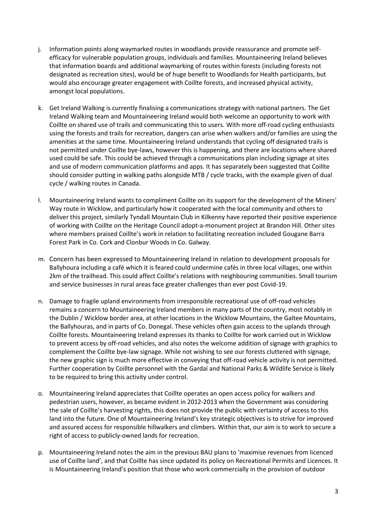- j. Information points along waymarked routes in woodlands provide reassurance and promote selfefficacy for vulnerable population groups, individuals and families. Mountaineering Ireland believes that information boards and additional waymarking of routes within forests (including forests not designated as recreation sites), would be of huge benefit to Woodlands for Health participants, but would also encourage greater engagement with Coillte forests, and increased physical activity, amongst local populations.
- k. Get Ireland Walking is currently finalising a communications strategy with national partners. The Get Ireland Walking team and Mountaineering Ireland would both welcome an opportunity to work with Coillte on shared use of trails and communicating this to users. With more off-road cycling enthusiasts using the forests and trails for recreation, dangers can arise when walkers and/or families are using the amenities at the same time. Mountaineering Ireland understands that cycling off designated trails is not permitted under Coillte bye-laws, however this is happening, and there are locations where shared used could be safe. This could be achieved through a communications plan including signage at sites and use of modern communication platforms and apps. It has separately been suggested that Coillte should consider putting in walking paths alongside MTB / cycle tracks, with the example given of dual cycle / walking routes in Canada.
- l. Mountaineering Ireland wants to compliment Coillte on its support for the development of the Miners' Way route in Wicklow, and particularly how it cooperated with the local community and others to deliver this project, similarly Tyndall Mountain Club in Kilkenny have reported their positive experience of working with Coillte on the Heritage Council adopt-a-monument project at Brandon Hill. Other sites where members praised Coillte's work in relation to facilitating recreation included Gougane Barra Forest Park in Co. Cork and Clonbur Woods in Co. Galway.
- m. Concern has been expressed to Mountaineering Ireland in relation to development proposals for Ballyhoura including a café which it is feared could undermine cafés in three local villages, one within 2km of the trailhead. This could affect Coillte's relations with neighbouring communities. Small tourism and service businesses in rural areas face greater challenges than ever post Covid-19.
- n. Damage to fragile upland environments from irresponsible recreational use of off-road vehicles remains a concern to Mountaineering Ireland members in many parts of the country, most notably in the Dublin / Wicklow border area, at other locations in the Wicklow Mountains, the Galtee Mountains, the Ballyhouras, and in parts of Co. Donegal. These vehicles often gain access to the uplands through Coillte forests. Mountaineering Ireland expresses its thanks to Coillte for work carried out in Wicklow to prevent access by off-road vehicles, and also notes the welcome addition of signage with graphics to complement the Coillte bye-law signage. While not wishing to see our forests cluttered with signage, the new graphic sign is much more effective in conveying that off-road vehicle activity is not permitted. Further cooperation by Coillte personnel with the Gardaí and National Parks & Wildlife Service is likely to be required to bring this activity under control.
- o. Mountaineering Ireland appreciates that Coillte operates an open access policy for walkers and pedestrian users, however, as became evident in 2012-2013 when the Government was considering the sale of Coillte's harvesting rights, this does not provide the public with certainty of access to this land into the future. One of Mountaineering Ireland's key strategic objectives is to strive for improved and assured access for responsible hillwalkers and climbers. Within that, our aim is to work to secure a right of access to publicly-owned lands for recreation.
- p. Mountaineering Ireland notes the aim in the previous BAU plans to 'maximise revenues from licenced use of Coillte land', and that Coillte has since updated its policy on Recreational Permits and Licences. It is Mountaineering Ireland's position that those who work commercially in the provision of outdoor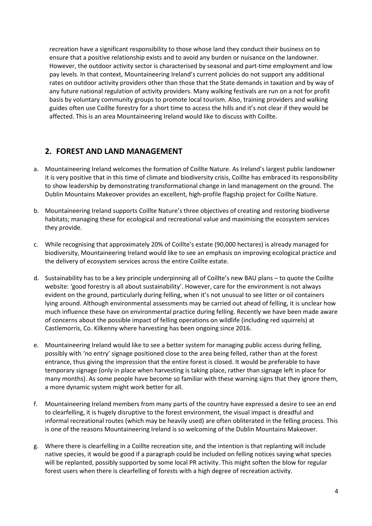recreation have a significant responsibility to those whose land they conduct their business on to ensure that a positive relationship exists and to avoid any burden or nuisance on the landowner. However, the outdoor activity sector is characterised by seasonal and part-time employment and low pay levels. In that context, Mountaineering Ireland's current policies do not support any additional rates on outdoor activity providers other than those that the State demands in taxation and by way of any future national regulation of activity providers. Many walking festivals are run on a not for profit basis by voluntary community groups to promote local tourism. Also, training providers and walking guides often use Coillte forestry for a short time to access the hills and it's not clear if they would be affected. This is an area Mountaineering Ireland would like to discuss with Coillte.

### **2. FOREST AND LAND MANAGEMENT**

- a. Mountaineering Ireland welcomes the formation of Coillte Nature. As Ireland's largest public landowner it is very positive that in this time of climate and biodiversity crisis, Coillte has embraced its responsibility to show leadership by demonstrating transformational change in land management on the ground. The Dublin Mountains Makeover provides an excellent, high-profile flagship project for Coillte Nature.
- b. Mountaineering Ireland supports Coillte Nature's three objectives of creating and restoring biodiverse habitats; managing these for ecological and recreational value and maximising the ecosystem services they provide.
- c. While recognising that approximately 20% of Coillte's estate (90,000 hectares) is already managed for biodiversity, Mountaineering Ireland would like to see an emphasis on improving ecological practice and the delivery of ecosystem services across the entire Coillte estate.
- d. Sustainability has to be a key principle underpinning all of Coillte's new BAU plans to quote the Coillte website: 'good forestry is all about sustainability'. However, care for the environment is not always evident on the ground, particularly during felling, when it's not unusual to see litter or oil containers lying around. Although environmental assessments may be carried out ahead of felling, it is unclear how much influence these have on environmental practice during felling. Recently we have been made aware of concerns about the possible impact of felling operations on wildlife (including red squirrels) at Castlemorris, Co. Kilkenny where harvesting has been ongoing since 2016.
- e. Mountaineering Ireland would like to see a better system for managing public access during felling, possibly with 'no entry' signage positioned close to the area being felled, rather than at the forest entrance, thus giving the impression that the entire forest is closed. It would be preferable to have temporary signage (only in place when harvesting is taking place, rather than signage left in place for many months). As some people have become so familiar with these warning signs that they ignore them, a more dynamic system might work better for all.
- f. Mountaineering Ireland members from many parts of the country have expressed a desire to see an end to clearfelling, it is hugely disruptive to the forest environment, the visual impact is dreadful and informal recreational routes (which may be heavily used) are often obliterated in the felling process. This is one of the reasons Mountaineering Ireland is so welcoming of the Dublin Mountains Makeover.
- g. Where there is clearfelling in a Coillte recreation site, and the intention is that replanting will include native species, it would be good if a paragraph could be included on felling notices saying what species will be replanted, possibly supported by some local PR activity. This might soften the blow for regular forest users when there is clearfelling of forests with a high degree of recreation activity.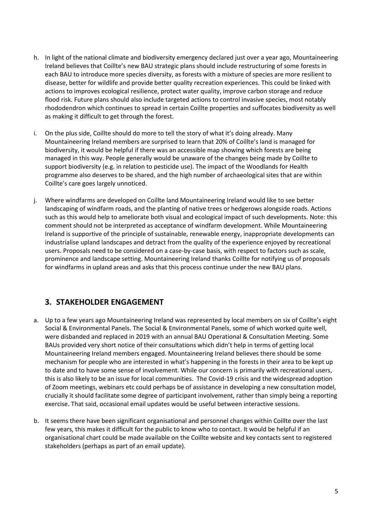- h. In light of the national climate and biodiversity emergency declared just over a year ago, Mountaineering Ireland believes that Coillte's new BAU strategic plans should include restructuring of some forests in each BAU to introduce more species diversity, as forests with a mixture of species are more resilient to disease, better for wildlife and provide better quality recreation experiences. This could be linked with actions to improves ecological resilience, protect water quality, improve carbon storage and reduce flood risk. Future plans should also include targeted actions to control invasive species, most notably rhododendron which continues to spread in certain Coillte properties and suffocates biodiversity as well as making it difficult to get through the forest.
- i. On the plus side, Coillte should do more to tell the story of what it's doing already. Many Mountaineering Ireland members are surprised to learn that 20% of Coillte's land is managed for biodiversity, it would be helpful if there was an accessible map showing which forests are being managed in this way. People generally would be unaware of the changes being made by Coillte to support biodiversity (e.g. in relation to pesticide use). The impact of the Woodlands for Health programme also deserves to be shared, and the high number of archaeological sites that are within Coillte's care goes largely unnoticed.
- j. Where windfarms are developed on Coillte land Mountaineering Ireland would like to see better landscaping of windfarm roads, and the planting of native trees or hedgerows alongside roads. Actions such as this would help to ameliorate both visual and ecological impact of such developments. Note: this comment should not be interpreted as acceptance of windfarm development. While Mountaineering Ireland is supportive of the principle of sustainable, renewable energy, inappropriate developments can industrialise upland landscapes and detract from the quality of the experience enjoyed by recreational users. Proposals need to be considered on a case-by-case basis, with respect to factors such as scale, prominence and landscape setting. Mountaineering Ireland thanks Coillte for notifying us of proposals for windfarms in upland areas and asks that this process continue under the new BAU plans.

# **3. STAKEHOLDER ENGAGEMENT**

- a. Up to a few years ago Mountaineering Ireland was represented by local members on six of Coillte's eight Social & Environmental Panels. The Social & Environmental Panels, some of which worked quite well, were disbanded and replaced in 2019 with an annual BAU Operational & Consultation Meeting. Some BAUs provided very short notice of their consultations which didn't help in terms of getting local Mountaineering Ireland members engaged. Mountaineering Ireland believes there should be some mechanism for people who are interested in what's happening in the forests in their area to be kept up to date and to have some sense of involvement. While our concern is primarily with recreational users, this is also likely to be an issue for local communities. The Covid-19 crisis and the widespread adoption of Zoom meetings, webinars etc could perhaps be of assistance in developing a new consultation model, crucially it should facilitate some degree of participant involvement, rather than simply being a reporting exercise. That said, occasional email updates would be useful between interactive sessions.
- b. It seems there have been significant organisational and personnel changes within Coillte over the last few years, this makes it difficult for the public to know who to contact. It would be helpful if an organisational chart could be made available on the Coillte website and key contacts sent to registered stakeholders (perhaps as part of an email update).